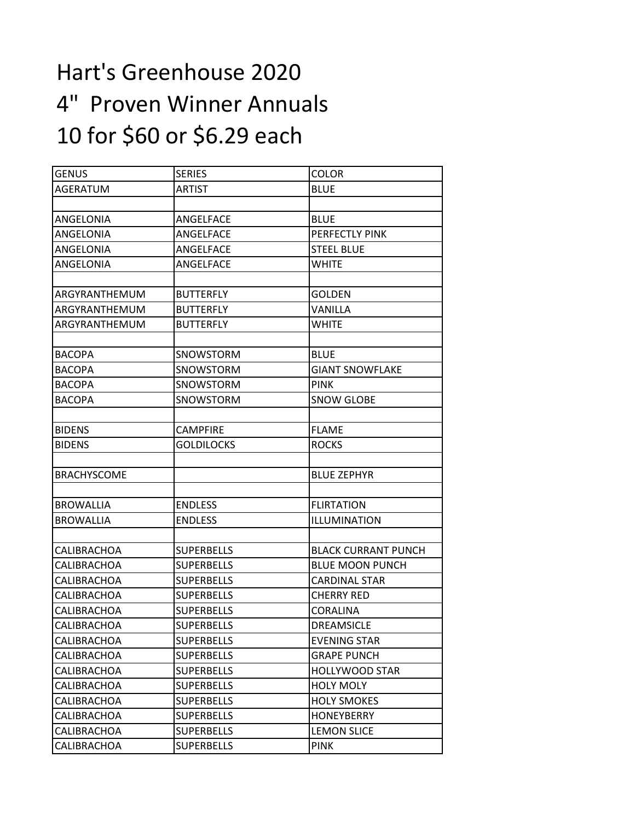## Hart's Greenhouse 2020 4" Proven Winner Annuals 10 for \$60 or \$6.29 each

| GENUS              | <b>SERIES</b>     | <b>COLOR</b>               |
|--------------------|-------------------|----------------------------|
| AGERATUM           | <b>ARTIST</b>     | <b>BLUE</b>                |
|                    |                   |                            |
| ANGELONIA          | ANGELFACE         | <b>BLUE</b>                |
| ANGELONIA          | ANGELFACE         | PERFECTLY PINK             |
| ANGELONIA          | ANGELFACE         | <b>STEEL BLUE</b>          |
| ANGELONIA          | ANGELFACE         | <b>WHITE</b>               |
|                    |                   |                            |
| ARGYRANTHEMUM      | <b>BUTTERFLY</b>  | <b>GOLDEN</b>              |
| ARGYRANTHEMUM      | <b>BUTTERFLY</b>  | VANILLA                    |
| ARGYRANTHEMUM      | <b>BUTTERFLY</b>  | WHITE                      |
|                    |                   |                            |
| <b>BACOPA</b>      | SNOWSTORM         | <b>BLUE</b>                |
| <b>BACOPA</b>      | SNOWSTORM         | <b>GIANT SNOWFLAKE</b>     |
| <b>BACOPA</b>      | SNOWSTORM         | <b>PINK</b>                |
| <b>BACOPA</b>      | <b>SNOWSTORM</b>  | <b>SNOW GLOBE</b>          |
|                    |                   |                            |
| <b>BIDENS</b>      | <b>CAMPFIRE</b>   | <b>FLAME</b>               |
| <b>BIDENS</b>      | <b>GOLDILOCKS</b> | <b>ROCKS</b>               |
|                    |                   |                            |
| <b>BRACHYSCOME</b> |                   | <b>BLUE ZEPHYR</b>         |
|                    |                   |                            |
| <b>BROWALLIA</b>   | <b>ENDLESS</b>    | <b>FLIRTATION</b>          |
| <b>BROWALLIA</b>   | <b>ENDLESS</b>    | ILLUMINATION               |
|                    |                   |                            |
| CALIBRACHOA        | <b>SUPERBELLS</b> | <b>BLACK CURRANT PUNCH</b> |
| CALIBRACHOA        | <b>SUPERBELLS</b> | <b>BLUE MOON PUNCH</b>     |
| CALIBRACHOA        | <b>SUPERBELLS</b> | <b>CARDINAL STAR</b>       |
| CALIBRACHOA        | <b>SUPERBELLS</b> | CHERRY RED                 |
| CALIBRACHOA        | <b>SUPERBELLS</b> | CORALINA                   |
| CALIBRACHOA        | <b>SUPERBELLS</b> | <b>DREAMSICLE</b>          |
| CALIBRACHOA        | <b>SUPERBELLS</b> | <b>EVENING STAR</b>        |
| CALIBRACHOA        | <b>SUPERBELLS</b> | <b>GRAPE PUNCH</b>         |
| CALIBRACHOA        | <b>SUPERBELLS</b> | <b>HOLLYWOOD STAR</b>      |
| CALIBRACHOA        | <b>SUPERBELLS</b> | <b>HOLY MOLY</b>           |
| CALIBRACHOA        | <b>SUPERBELLS</b> | <b>HOLY SMOKES</b>         |
| CALIBRACHOA        | <b>SUPERBELLS</b> | <b>HONEYBERRY</b>          |
| CALIBRACHOA        | <b>SUPERBELLS</b> | <b>LEMON SLICE</b>         |
| CALIBRACHOA        | <b>SUPERBELLS</b> | <b>PINK</b>                |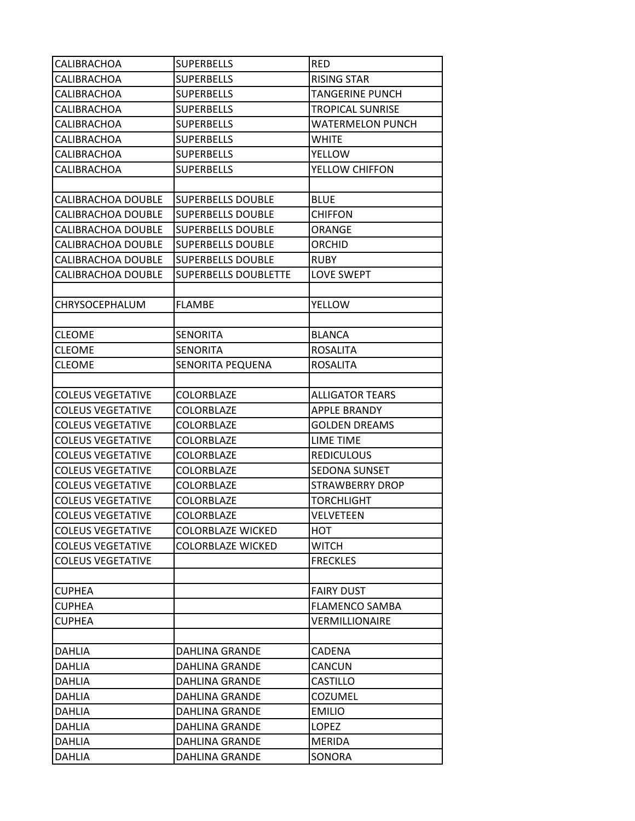| CALIBRACHOA              | <b>SUPERBELLS</b>        | <b>RED</b>              |
|--------------------------|--------------------------|-------------------------|
| CALIBRACHOA              | <b>SUPERBELLS</b>        | <b>RISING STAR</b>      |
| CALIBRACHOA              | <b>SUPERBELLS</b>        | <b>TANGERINE PUNCH</b>  |
| CALIBRACHOA              | <b>SUPERBELLS</b>        | <b>TROPICAL SUNRISE</b> |
| CALIBRACHOA              | <b>SUPERBELLS</b>        | <b>WATERMELON PUNCH</b> |
| CALIBRACHOA              | <b>SUPERBELLS</b>        | <b>WHITE</b>            |
| CALIBRACHOA              | <b>SUPERBELLS</b>        | <b>YELLOW</b>           |
| CALIBRACHOA              | <b>SUPERBELLS</b>        | YELLOW CHIFFON          |
|                          |                          |                         |
| CALIBRACHOA DOUBLE       | SUPERBELLS DOUBLE        | <b>BLUE</b>             |
| CALIBRACHOA DOUBLE       | <b>SUPERBELLS DOUBLE</b> | <b>CHIFFON</b>          |
| CALIBRACHOA DOUBLE       | <b>SUPERBELLS DOUBLE</b> | ORANGE                  |
| CALIBRACHOA DOUBLE       | <b>SUPERBELLS DOUBLE</b> | <b>ORCHID</b>           |
| CALIBRACHOA DOUBLE       | <b>SUPERBELLS DOUBLE</b> | <b>RUBY</b>             |
| CALIBRACHOA DOUBLE       | SUPERBELLS DOUBLETTE     | <b>LOVE SWEPT</b>       |
|                          |                          |                         |
| CHRYSOCEPHALUM           | <b>FLAMBE</b>            | <b>YELLOW</b>           |
|                          |                          |                         |
| <b>CLEOME</b>            | <b>SENORITA</b>          | <b>BLANCA</b>           |
| CLEOME                   | <b>SENORITA</b>          | <b>ROSALITA</b>         |
| <b>CLEOME</b>            | SENORITA PEQUENA         | <b>ROSALITA</b>         |
|                          |                          |                         |
| <b>COLEUS VEGETATIVE</b> | COLORBLAZE               | <b>ALLIGATOR TEARS</b>  |
| <b>COLEUS VEGETATIVE</b> | <b>COLORBLAZE</b>        | <b>APPLE BRANDY</b>     |
| <b>COLEUS VEGETATIVE</b> | <b>COLORBLAZE</b>        | <b>GOLDEN DREAMS</b>    |
| <b>COLEUS VEGETATIVE</b> | <b>COLORBLAZE</b>        | <b>LIME TIME</b>        |
| <b>COLEUS VEGETATIVE</b> | <b>COLORBLAZE</b>        | <b>REDICULOUS</b>       |
| <b>COLEUS VEGETATIVE</b> | <b>COLORBLAZE</b>        | SEDONA SUNSET           |
| <b>COLEUS VEGETATIVE</b> | COLORBLAZE               | <b>STRAWBERRY DROP</b>  |
| <b>COLEUS VEGETATIVE</b> | <b>COLORBLAZE</b>        | <b>TORCHLIGHT</b>       |
| <b>COLEUS VEGETATIVE</b> | COLORBLAZE               | VELVETEEN               |
| <b>COLEUS VEGETATIVE</b> | <b>COLORBLAZE WICKED</b> | нот                     |
| <b>COLEUS VEGETATIVE</b> | <b>COLORBLAZE WICKED</b> | <b>WITCH</b>            |
| <b>COLEUS VEGETATIVE</b> |                          | <b>FRECKLES</b>         |
|                          |                          |                         |
| CUPHEA                   |                          | <b>FAIRY DUST</b>       |
| <b>CUPHEA</b>            |                          | <b>FLAMENCO SAMBA</b>   |
| CUPHEA                   |                          | VERMILLIONAIRE          |
|                          |                          |                         |
| <b>DAHLIA</b>            | <b>DAHLINA GRANDE</b>    | CADENA                  |
| <b>DAHLIA</b>            | DAHLINA GRANDE           | CANCUN                  |
| <b>DAHLIA</b>            | DAHLINA GRANDE           | CASTILLO                |
| DAHLIA                   | <b>DAHLINA GRANDE</b>    | COZUMEL                 |
| DAHLIA                   | <b>DAHLINA GRANDE</b>    | <b>EMILIO</b>           |
| <b>DAHLIA</b>            | DAHLINA GRANDE           | LOPEZ                   |
| DAHLIA                   | DAHLINA GRANDE           | MERIDA                  |
| <b>DAHLIA</b>            | <b>DAHLINA GRANDE</b>    | SONORA                  |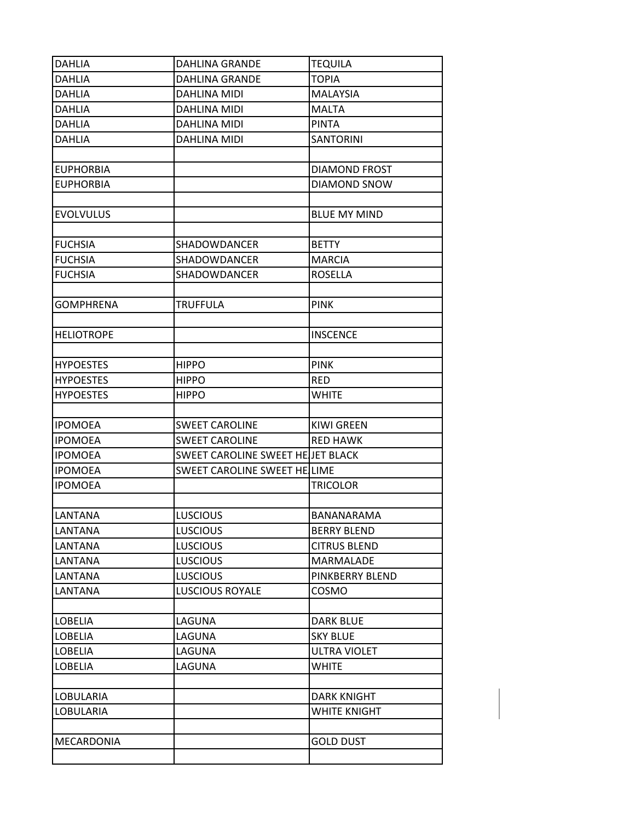| DAHLIA            | <b>DAHLINA GRANDE</b>             | <b>TEQUILA</b>       |
|-------------------|-----------------------------------|----------------------|
| <b>DAHLIA</b>     | <b>DAHLINA GRANDE</b>             | <b>TOPIA</b>         |
| <b>DAHLIA</b>     | DAHLINA MIDI                      | <b>MALAYSIA</b>      |
| <b>DAHLIA</b>     | DAHLINA MIDI                      | <b>MALTA</b>         |
| <b>DAHLIA</b>     | DAHLINA MIDI                      | <b>PINTA</b>         |
| <b>DAHLIA</b>     | DAHLINA MIDI                      | <b>SANTORINI</b>     |
|                   |                                   |                      |
| <b>EUPHORBIA</b>  |                                   | <b>DIAMOND FROST</b> |
| <b>EUPHORBIA</b>  |                                   | <b>DIAMOND SNOW</b>  |
|                   |                                   |                      |
| <b>EVOLVULUS</b>  |                                   | <b>BLUE MY MIND</b>  |
|                   |                                   |                      |
| <b>FUCHSIA</b>    | SHADOWDANCER                      | <b>BETTY</b>         |
| <b>FUCHSIA</b>    | SHADOWDANCER                      | <b>MARCIA</b>        |
| <b>FUCHSIA</b>    | SHADOWDANCER                      | <b>ROSELLA</b>       |
|                   |                                   |                      |
| <b>GOMPHRENA</b>  | TRUFFULA                          | <b>PINK</b>          |
|                   |                                   |                      |
| <b>HELIOTROPE</b> |                                   | <b>INSCENCE</b>      |
| <b>HYPOESTES</b>  | <b>HIPPO</b>                      | <b>PINK</b>          |
| <b>HYPOESTES</b>  | <b>HIPPO</b>                      | <b>RED</b>           |
| <b>HYPOESTES</b>  | <b>HIPPO</b>                      | <b>WHITE</b>         |
|                   |                                   |                      |
| <b>IPOMOEA</b>    | <b>SWEET CAROLINE</b>             | <b>KIWI GREEN</b>    |
| <b>IPOMOEA</b>    | <b>SWEET CAROLINE</b>             | <b>RED HAWK</b>      |
| <b>IPOMOEA</b>    | SWEET CAROLINE SWEET HE JET BLACK |                      |
| <b>IPOMOEA</b>    | SWEET CAROLINE SWEET HE LIME      |                      |
| <b>IPOMOEA</b>    |                                   | <b>TRICOLOR</b>      |
|                   |                                   |                      |
| <b>LANTANA</b>    | <b>LUSCIOUS</b>                   | <b>BANANARAMA</b>    |
| <b>LANTANA</b>    | <b>LUSCIOUS</b>                   | <b>BERRY BLEND</b>   |
| <b>LANTANA</b>    | <b>LUSCIOUS</b>                   | <b>CITRUS BLEND</b>  |
| LANTANA           | <b>LUSCIOUS</b>                   | <b>MARMALADE</b>     |
| LANTANA           | <b>LUSCIOUS</b>                   | PINKBERRY BLEND      |
| LANTANA           | <b>LUSCIOUS ROYALE</b>            | <b>COSMO</b>         |
|                   |                                   |                      |
| <b>LOBELIA</b>    | LAGUNA                            | DARK BLUE            |
| <b>LOBELIA</b>    | LAGUNA                            | <b>SKY BLUE</b>      |
| <b>LOBELIA</b>    | LAGUNA                            | <b>ULTRA VIOLET</b>  |
| <b>LOBELIA</b>    | LAGUNA                            | <b>WHITE</b>         |
|                   |                                   |                      |
| <b>LOBULARIA</b>  |                                   | <b>DARK KNIGHT</b>   |
| <b>LOBULARIA</b>  |                                   | WHITE KNIGHT         |
|                   |                                   |                      |
| MECARDONIA        |                                   | <b>GOLD DUST</b>     |
|                   |                                   |                      |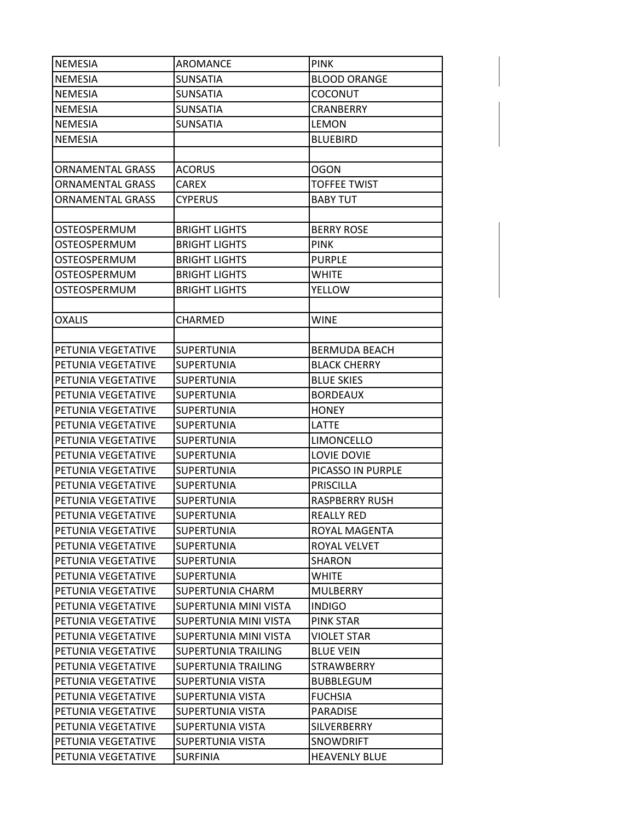| <b>NEMESIA</b>          | AROMANCE                   | <b>PINK</b>           |
|-------------------------|----------------------------|-----------------------|
| <b>NEMESIA</b>          | <b>SUNSATIA</b>            | <b>BLOOD ORANGE</b>   |
| <b>NEMESIA</b>          | <b>SUNSATIA</b>            | <b>COCONUT</b>        |
| <b>NEMESIA</b>          | <b>SUNSATIA</b>            | <b>CRANBERRY</b>      |
| NEMESIA                 | <b>SUNSATIA</b>            | <b>LEMON</b>          |
| <b>NEMESIA</b>          |                            | <b>BLUEBIRD</b>       |
|                         |                            |                       |
| <b>ORNAMENTAL GRASS</b> | <b>ACORUS</b>              | <b>OGON</b>           |
| <b>ORNAMENTAL GRASS</b> | <b>CAREX</b>               | <b>TOFFEE TWIST</b>   |
| ORNAMENTAL GRASS        | <b>CYPERUS</b>             | <b>BABY TUT</b>       |
|                         |                            |                       |
| OSTEOSPERMUM            | <b>BRIGHT LIGHTS</b>       | <b>BERRY ROSE</b>     |
| OSTEOSPERMUM            | <b>BRIGHT LIGHTS</b>       | <b>PINK</b>           |
| OSTEOSPERMUM            | <b>BRIGHT LIGHTS</b>       | <b>PURPLE</b>         |
| OSTEOSPERMUM            | <b>BRIGHT LIGHTS</b>       | <b>WHITE</b>          |
| OSTEOSPERMUM            | <b>BRIGHT LIGHTS</b>       | <b>YELLOW</b>         |
|                         |                            |                       |
| <b>OXALIS</b>           | <b>CHARMED</b>             | <b>WINE</b>           |
|                         |                            |                       |
| PETUNIA VEGETATIVE      | <b>SUPERTUNIA</b>          | <b>BERMUDA BEACH</b>  |
| PETUNIA VEGETATIVE      | <b>SUPERTUNIA</b>          | <b>BLACK CHERRY</b>   |
| PETUNIA VEGETATIVE      | <b>SUPERTUNIA</b>          | <b>BLUE SKIES</b>     |
| PETUNIA VEGETATIVE      | <b>SUPERTUNIA</b>          | <b>BORDEAUX</b>       |
| PETUNIA VEGETATIVE      | <b>SUPERTUNIA</b>          | <b>HONEY</b>          |
| PETUNIA VEGETATIVE      | <b>SUPERTUNIA</b>          | LATTE                 |
| PETUNIA VEGETATIVE      | <b>SUPERTUNIA</b>          | <b>LIMONCELLO</b>     |
| PETUNIA VEGETATIVE      | <b>SUPERTUNIA</b>          | LOVIE DOVIE           |
| PETUNIA VEGETATIVE      | <b>SUPERTUNIA</b>          | PICASSO IN PURPLE     |
| PETUNIA VEGETATIVE      | <b>SUPERTUNIA</b>          | <b>PRISCILLA</b>      |
| PETUNIA VEGETATIVE      | <b>SUPERTUNIA</b>          | <b>RASPBERRY RUSH</b> |
| PETUNIA VEGETATIVE      | <b>SUPERTUNIA</b>          | <b>REALLY RED</b>     |
| PETUNIA VEGETATIVE      | <b>SUPERTUNIA</b>          | ROYAL MAGENTA         |
| PETUNIA VEGETATIVE      | <b>SUPERTUNIA</b>          | ROYAL VELVET          |
| PETUNIA VEGETATIVE      | <b>SUPERTUNIA</b>          | SHARON                |
| PETUNIA VEGETATIVE      | <b>SUPERTUNIA</b>          | <b>WHITE</b>          |
| PETUNIA VEGETATIVE      | SUPERTUNIA CHARM           | <b>MULBERRY</b>       |
| PETUNIA VEGETATIVE      | SUPERTUNIA MINI VISTA      | <b>INDIGO</b>         |
| PETUNIA VEGETATIVE      | SUPERTUNIA MINI VISTA      | PINK STAR             |
| PETUNIA VEGETATIVE      | SUPERTUNIA MINI VISTA      | <b>VIOLET STAR</b>    |
| PETUNIA VEGETATIVE      | <b>SUPERTUNIA TRAILING</b> | <b>BLUE VEIN</b>      |
| PETUNIA VEGETATIVE      | SUPERTUNIA TRAILING        | STRAWBERRY            |
| PETUNIA VEGETATIVE      | SUPERTUNIA VISTA           | <b>BUBBLEGUM</b>      |
| PETUNIA VEGETATIVE      | SUPERTUNIA VISTA           | <b>FUCHSIA</b>        |
| PETUNIA VEGETATIVE      | SUPERTUNIA VISTA           | PARADISE              |
| PETUNIA VEGETATIVE      | SUPERTUNIA VISTA           | SILVERBERRY           |
| PETUNIA VEGETATIVE      | SUPERTUNIA VISTA           | <b>SNOWDRIFT</b>      |
| PETUNIA VEGETATIVE      | <b>SURFINIA</b>            | <b>HEAVENLY BLUE</b>  |